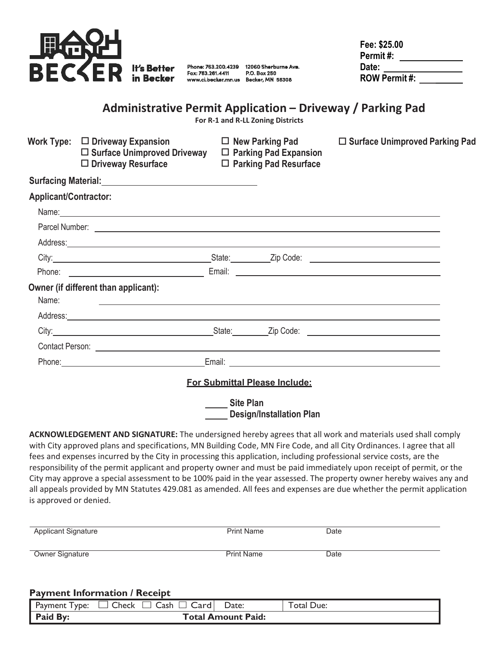

Fax: 763.261.4411

Phone: 763.200.4239 12060 Sherburne Ave. P.O. Box 250 www.ci.becker.mn.us Becker, MN 55308

| Fee: \$25.00         |  |
|----------------------|--|
| Permit #:            |  |
| Date:                |  |
| <b>ROW Permit #:</b> |  |

# **Administrative Permit Application – Driveway / Parking Pad**

**For R-1 and R-LL Zoning Districts**

|                              | Work Type: $\Box$ Driveway Expansion<br>$\square$ Surface Unimproved Driveway<br>$\Box$ Driveway Resurface                                                                                                                     |                  | $\Box$ New Parking Pad<br>$\Box$ Parking Pad Expansion<br>$\Box$ Parking Pad Resurface | □ Surface Unimproved Parking Pad |
|------------------------------|--------------------------------------------------------------------------------------------------------------------------------------------------------------------------------------------------------------------------------|------------------|----------------------------------------------------------------------------------------|----------------------------------|
|                              |                                                                                                                                                                                                                                |                  |                                                                                        |                                  |
| <b>Applicant/Contractor:</b> |                                                                                                                                                                                                                                |                  |                                                                                        |                                  |
|                              | Name: 2008. 2009. 2009. 2009. 2009. 2009. 2009. 2009. 2009. 2009. 2009. 2009. 2009. 2009. 2009. 2009. 2009. 20                                                                                                                 |                  |                                                                                        |                                  |
|                              |                                                                                                                                                                                                                                |                  |                                                                                        |                                  |
|                              | Address: Note and the contract of the contract of the contract of the contract of the contract of the contract of the contract of the contract of the contract of the contract of the contract of the contract of the contract |                  |                                                                                        |                                  |
|                              | City: City: City: City: City: City: City: Code: City: Code: City: City: City: City: City: City: City: City: Code: City: City: City: City: City: City: City: City: City: City: City: City: City: City: City: City: City: City:  |                  |                                                                                        |                                  |
|                              |                                                                                                                                                                                                                                |                  |                                                                                        |                                  |
| Name:                        | Owner (if different than applicant):<br><u> 1999 - Johann Stoff, skriuwer en fan de Amerikaanske kommunister († 1958)</u>                                                                                                      |                  |                                                                                        |                                  |
|                              | Address: National Address: Address: National Address: National Address: National Address: National Address: National Address: National Address: National Address: National Address: National Address: National Address: Nation |                  |                                                                                        |                                  |
|                              | City: City: City: City: City: City: City: Color: City: Color: City: City: City: City: City: City: City: City: City: City: City: City: City: City: City: City: City: City: City: City: City: City: City: City: City: City: City |                  |                                                                                        |                                  |
|                              |                                                                                                                                                                                                                                |                  |                                                                                        |                                  |
|                              |                                                                                                                                                                                                                                |                  |                                                                                        |                                  |
|                              |                                                                                                                                                                                                                                |                  | For Submittal Please Include:                                                          |                                  |
|                              |                                                                                                                                                                                                                                | <b>Site Plan</b> | <b>Design/Installation Plan</b>                                                        |                                  |

**ACKNOWLEDGEMENT AND SIGNATURE:** The undersigned hereby agrees that all work and materials used shall comply with City approved plans and specifications, MN Building Code, MN Fire Code, and all City Ordinances. I agree that all fees and expenses incurred by the City in processing this application, including professional service costs, are the responsibility of the permit applicant and property owner and must be paid immediately upon receipt of permit, or the City may approve a special assessment to be 100% paid in the year assessed. The property owner hereby waives any and all appeals provided by MN Statutes 429.081 as amended. All fees and expenses are due whether the permit application is approved or denied.

| <b>Applicant Signature</b> | <b>Print Name</b> | Date |
|----------------------------|-------------------|------|
| <b>Owner Signature</b>     | <b>Print Name</b> | Date |
|                            |                   |      |

#### **Payment Information / Receipt**

| Payment<br>ype: | Cash<br>Check<br>∣ Card I | Date: | otal Due: |
|-----------------|---------------------------|-------|-----------|
| Paid By:        | <b>Total Amount Paid:</b> |       |           |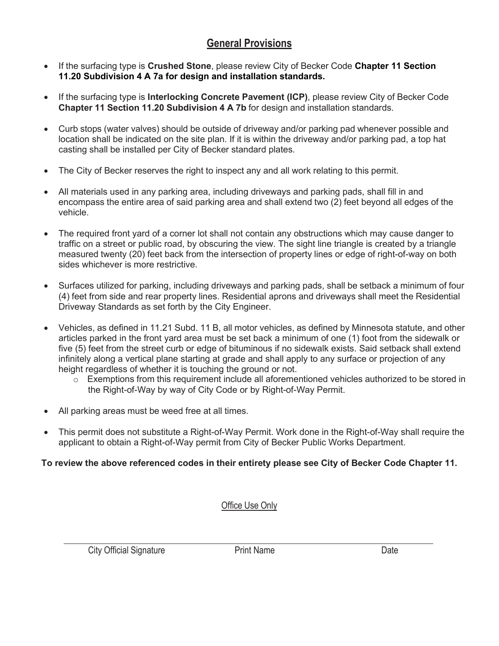# **General Provisions**

- If the surfacing type is **Crushed Stone**, please review City of Becker Code **Chapter 11 Section 11.20 Subdivision 4 A 7a for design and installation standards.**
- If the surfacing type is **Interlocking Concrete Pavement (ICP)**, please review City of Becker Code **Chapter 11 Section 11.20 Subdivision 4 A 7b** for design and installation standards.
- Curb stops (water valves) should be outside of driveway and/or parking pad whenever possible and location shall be indicated on the site plan. If it is within the driveway and/or parking pad, a top hat casting shall be installed per City of Becker standard plates.
- The City of Becker reserves the right to inspect any and all work relating to this permit.
- All materials used in any parking area, including driveways and parking pads, shall fill in and encompass the entire area of said parking area and shall extend two (2) feet beyond all edges of the vehicle.
- The required front yard of a corner lot shall not contain any obstructions which may cause danger to traffic on a street or public road, by obscuring the view. The sight line triangle is created by a triangle measured twenty (20) feet back from the intersection of property lines or edge of right-of-way on both sides whichever is more restrictive.
- Surfaces utilized for parking, including driveways and parking pads, shall be setback a minimum of four (4) feet from side and rear property lines. Residential aprons and driveways shall meet the Residential Driveway Standards as set forth by the City Engineer.
- Vehicles, as defined in 11.21 Subd. 11 B, all motor vehicles, as defined by Minnesota statute, and other articles parked in the front yard area must be set back a minimum of one (1) foot from the sidewalk or five (5) feet from the street curb or edge of bituminous if no sidewalk exists. Said setback shall extend infinitely along a vertical plane starting at grade and shall apply to any surface or projection of any height regardless of whether it is touching the ground or not.
	- $\circ$  Exemptions from this requirement include all aforementioned vehicles authorized to be stored in the Right-of-Way by way of City Code or by Right-of-Way Permit.
- All parking areas must be weed free at all times.
- This permit does not substitute a Right-of-Way Permit. Work done in the Right-of-Way shall require the applicant to obtain a Right-of-Way permit from City of Becker Public Works Department.

### **To review the above referenced codes in their entirety please see City of Becker Code Chapter 11.**

#### Office Use Only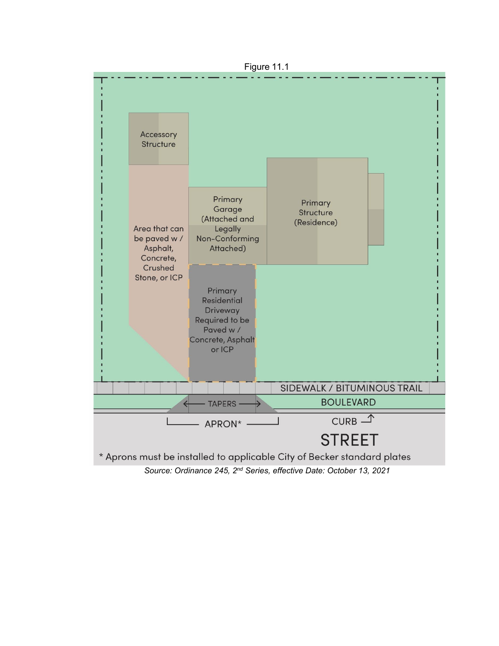

Figure 11.1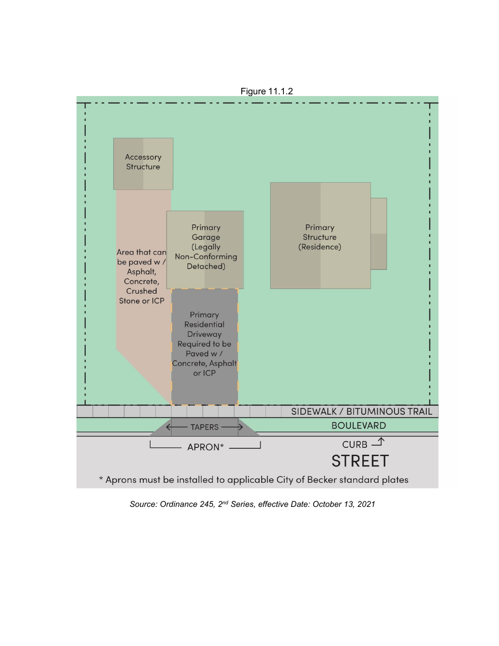

Figure 11.1.2

*Source: Ordinance 245, 2nd Series, effective Date: October 13, 2021*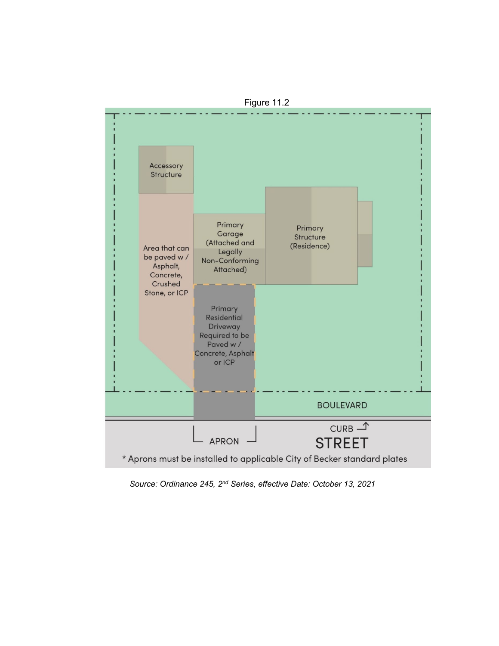

Figure 11.2

*Source: Ordinance 245, 2nd Series, effective Date: October 13, 2021*